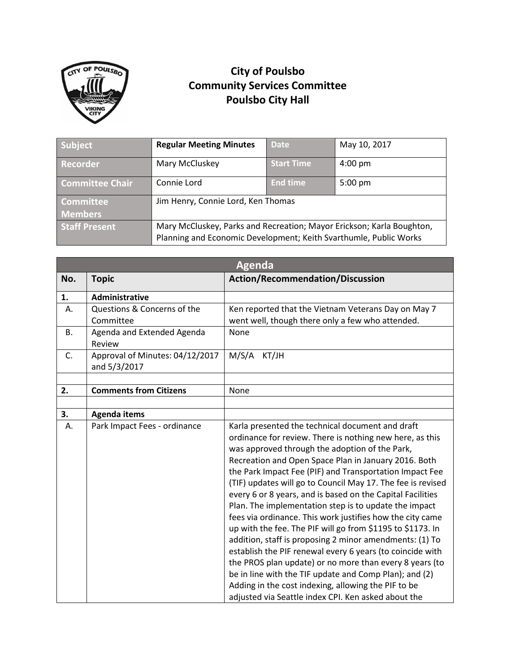

## **City of Poulsbo Community Services Committee Poulsbo City Hall**

| Subject                            | <b>Regular Meeting Minutes</b>                                                                                                             | <b>Date</b>       | May 10, 2017      |
|------------------------------------|--------------------------------------------------------------------------------------------------------------------------------------------|-------------------|-------------------|
| Recorder                           | Mary McCluskey                                                                                                                             | <b>Start Time</b> | $4:00$ pm         |
| <b>Committee Chair</b>             | Connie Lord                                                                                                                                | <b>End time</b>   | $5:00 \text{ pm}$ |
| <b>Committee</b><br><b>Members</b> | Jim Henry, Connie Lord, Ken Thomas                                                                                                         |                   |                   |
|                                    |                                                                                                                                            |                   |                   |
| <b>Staff Present</b>               | Mary McCluskey, Parks and Recreation; Mayor Erickson; Karla Boughton,<br>Planning and Economic Development; Keith Svarthumle, Public Works |                   |                   |

|                | <b>Agenda</b>                                   |                                                                                                                                                                                                                                                                                                                                                                                                                                                                                                                                                                                                                                                                                                                                                                                                                                                                                                                                                               |  |  |  |
|----------------|-------------------------------------------------|---------------------------------------------------------------------------------------------------------------------------------------------------------------------------------------------------------------------------------------------------------------------------------------------------------------------------------------------------------------------------------------------------------------------------------------------------------------------------------------------------------------------------------------------------------------------------------------------------------------------------------------------------------------------------------------------------------------------------------------------------------------------------------------------------------------------------------------------------------------------------------------------------------------------------------------------------------------|--|--|--|
| No.            | <b>Topic</b>                                    | <b>Action/Recommendation/Discussion</b>                                                                                                                                                                                                                                                                                                                                                                                                                                                                                                                                                                                                                                                                                                                                                                                                                                                                                                                       |  |  |  |
| 1.             | Administrative                                  |                                                                                                                                                                                                                                                                                                                                                                                                                                                                                                                                                                                                                                                                                                                                                                                                                                                                                                                                                               |  |  |  |
| Α.             | Questions & Concerns of the                     | Ken reported that the Vietnam Veterans Day on May 7                                                                                                                                                                                                                                                                                                                                                                                                                                                                                                                                                                                                                                                                                                                                                                                                                                                                                                           |  |  |  |
|                | Committee                                       | went well, though there only a few who attended.                                                                                                                                                                                                                                                                                                                                                                                                                                                                                                                                                                                                                                                                                                                                                                                                                                                                                                              |  |  |  |
| В.             | Agenda and Extended Agenda<br>Review            | None                                                                                                                                                                                                                                                                                                                                                                                                                                                                                                                                                                                                                                                                                                                                                                                                                                                                                                                                                          |  |  |  |
| $\mathsf{C}$ . | Approval of Minutes: 04/12/2017<br>and 5/3/2017 | M/S/A<br>KT/JH                                                                                                                                                                                                                                                                                                                                                                                                                                                                                                                                                                                                                                                                                                                                                                                                                                                                                                                                                |  |  |  |
|                |                                                 |                                                                                                                                                                                                                                                                                                                                                                                                                                                                                                                                                                                                                                                                                                                                                                                                                                                                                                                                                               |  |  |  |
| 2.             | <b>Comments from Citizens</b>                   | None                                                                                                                                                                                                                                                                                                                                                                                                                                                                                                                                                                                                                                                                                                                                                                                                                                                                                                                                                          |  |  |  |
|                |                                                 |                                                                                                                                                                                                                                                                                                                                                                                                                                                                                                                                                                                                                                                                                                                                                                                                                                                                                                                                                               |  |  |  |
| 3.             | <b>Agenda items</b>                             |                                                                                                                                                                                                                                                                                                                                                                                                                                                                                                                                                                                                                                                                                                                                                                                                                                                                                                                                                               |  |  |  |
| А.             | Park Impact Fees - ordinance                    | Karla presented the technical document and draft<br>ordinance for review. There is nothing new here, as this<br>was approved through the adoption of the Park,<br>Recreation and Open Space Plan in January 2016. Both<br>the Park Impact Fee (PIF) and Transportation Impact Fee<br>(TIF) updates will go to Council May 17. The fee is revised<br>every 6 or 8 years, and is based on the Capital Facilities<br>Plan. The implementation step is to update the impact<br>fees via ordinance. This work justifies how the city came<br>up with the fee. The PIF will go from \$1195 to \$1173. In<br>addition, staff is proposing 2 minor amendments: (1) To<br>establish the PIF renewal every 6 years (to coincide with<br>the PROS plan update) or no more than every 8 years (to<br>be in line with the TIF update and Comp Plan); and (2)<br>Adding in the cost indexing, allowing the PIF to be<br>adjusted via Seattle index CPI. Ken asked about the |  |  |  |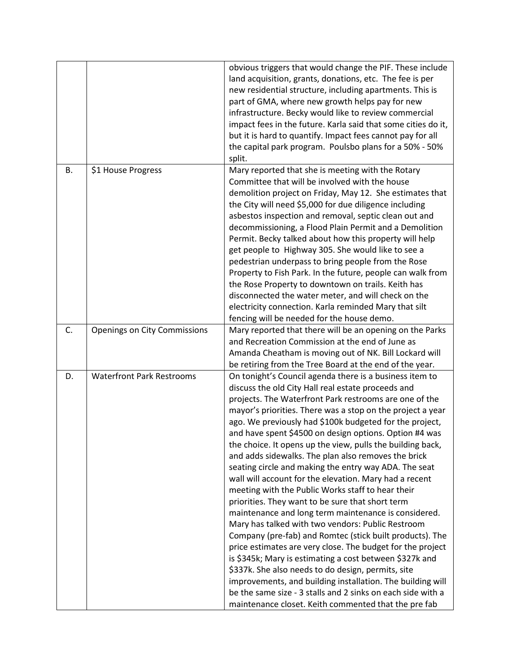|    |                                  | obvious triggers that would change the PIF. These include<br>land acquisition, grants, donations, etc. The fee is per<br>new residential structure, including apartments. This is<br>part of GMA, where new growth helps pay for new<br>infrastructure. Becky would like to review commercial<br>impact fees in the future. Karla said that some cities do it,<br>but it is hard to quantify. Impact fees cannot pay for all<br>the capital park program. Poulsbo plans for a 50% - 50%<br>split.                                                                                                                                                                                                                                                                                                                                                                                                                                                                                                                                                                                                                                                                                                                                                        |
|----|----------------------------------|----------------------------------------------------------------------------------------------------------------------------------------------------------------------------------------------------------------------------------------------------------------------------------------------------------------------------------------------------------------------------------------------------------------------------------------------------------------------------------------------------------------------------------------------------------------------------------------------------------------------------------------------------------------------------------------------------------------------------------------------------------------------------------------------------------------------------------------------------------------------------------------------------------------------------------------------------------------------------------------------------------------------------------------------------------------------------------------------------------------------------------------------------------------------------------------------------------------------------------------------------------|
| В. | \$1 House Progress               | Mary reported that she is meeting with the Rotary<br>Committee that will be involved with the house<br>demolition project on Friday, May 12. She estimates that<br>the City will need \$5,000 for due diligence including<br>asbestos inspection and removal, septic clean out and<br>decommissioning, a Flood Plain Permit and a Demolition<br>Permit. Becky talked about how this property will help<br>get people to Highway 305. She would like to see a<br>pedestrian underpass to bring people from the Rose<br>Property to Fish Park. In the future, people can walk from<br>the Rose Property to downtown on trails. Keith has<br>disconnected the water meter, and will check on the<br>electricity connection. Karla reminded Mary that silt<br>fencing will be needed for the house demo.                                                                                                                                                                                                                                                                                                                                                                                                                                                     |
| C. | Openings on City Commissions     | Mary reported that there will be an opening on the Parks<br>and Recreation Commission at the end of June as<br>Amanda Cheatham is moving out of NK. Bill Lockard will<br>be retiring from the Tree Board at the end of the year.                                                                                                                                                                                                                                                                                                                                                                                                                                                                                                                                                                                                                                                                                                                                                                                                                                                                                                                                                                                                                         |
| D. | <b>Waterfront Park Restrooms</b> | On tonight's Council agenda there is a business item to<br>discuss the old City Hall real estate proceeds and<br>projects. The Waterfront Park restrooms are one of the<br>mayor's priorities. There was a stop on the project a year<br>ago. We previously had \$100k budgeted for the project,<br>and have spent \$4500 on design options. Option #4 was<br>the choice. It opens up the view, pulls the building back,<br>and adds sidewalks. The plan also removes the brick<br>seating circle and making the entry way ADA. The seat<br>wall will account for the elevation. Mary had a recent<br>meeting with the Public Works staff to hear their<br>priorities. They want to be sure that short term<br>maintenance and long term maintenance is considered.<br>Mary has talked with two vendors: Public Restroom<br>Company (pre-fab) and Romtec (stick built products). The<br>price estimates are very close. The budget for the project<br>is \$345k; Mary is estimating a cost between \$327k and<br>\$337k. She also needs to do design, permits, site<br>improvements, and building installation. The building will<br>be the same size - 3 stalls and 2 sinks on each side with a<br>maintenance closet. Keith commented that the pre fab |